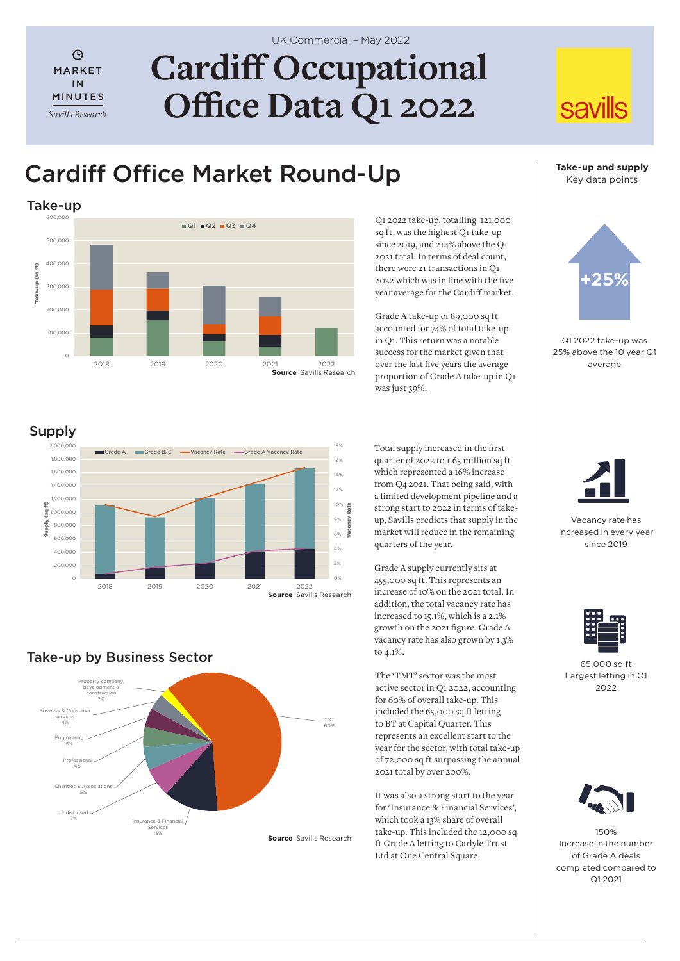$\odot$ MARKET IN MINUTES *Savills Research*

# **Cardiff Occupational Office Data Q1 2022**

## Cardiff Office Market Round-Up



Q1 2022 take-up, totalling 121,000 sq ft, was the highest Q1 take-up since 2019, and 214% above the Q1 2021 total. In terms of deal count, there were 21 transactions in Q1 2022 which was in line with the five year average for the Cardiff market.

Grade A take-up of 89,000 sq ft accounted for 74% of total take-up in Q1. This return was a notable success for the market given that over the last five years the average proportion of Grade A take-up in Q1 was just 39%.

**Take-up and supply** Key data points

**savills** 



Q1 2022 take-up was 25% above the 10 year Q1 average

## Supply



Total supply increased in the first quarter of 2022 to 1.65 million sq ft which represented a 16% increase from Q4 2021. That being said, with a limited development pipeline and a strong start to 2022 in terms of takeup, Savills predicts that supply in the market will reduce in the remaining quarters of the year.

Grade A supply currently sits at 455,000 sq ft. This represents an increase of 10% on the 2021 total. In addition, the total vacancy rate has increased to 15.1%, which is a 2.1% growth on the 2021 figure. Grade A vacancy rate has also grown by 1.3% to 4.1%.

The 'TMT' sector was the most active sector in Q1 2022, accounting for 60% of overall take-up. This included the 65,000 sq ft letting to BT at Capital Quarter. This represents an excellent start to the year for the sector, with total take-up of 72,000 sq ft surpassing the annual 2021 total by over 200%.

It was also a strong start to the year for 'Insurance & Financial Services', which took a 13% share of overall take-up. This included the 12,000 sq ft Grade A letting to Carlyle Trust Ltd at One Central Square.



Vacancy rate has increased in every year since 2019



65,000 sq ft Largest letting in Q1  $2022$ 



150% Increase in the number of Grade A deals completed compared to Q1 2021

## Take-up by Business Sector



UK Commercial – May 2022